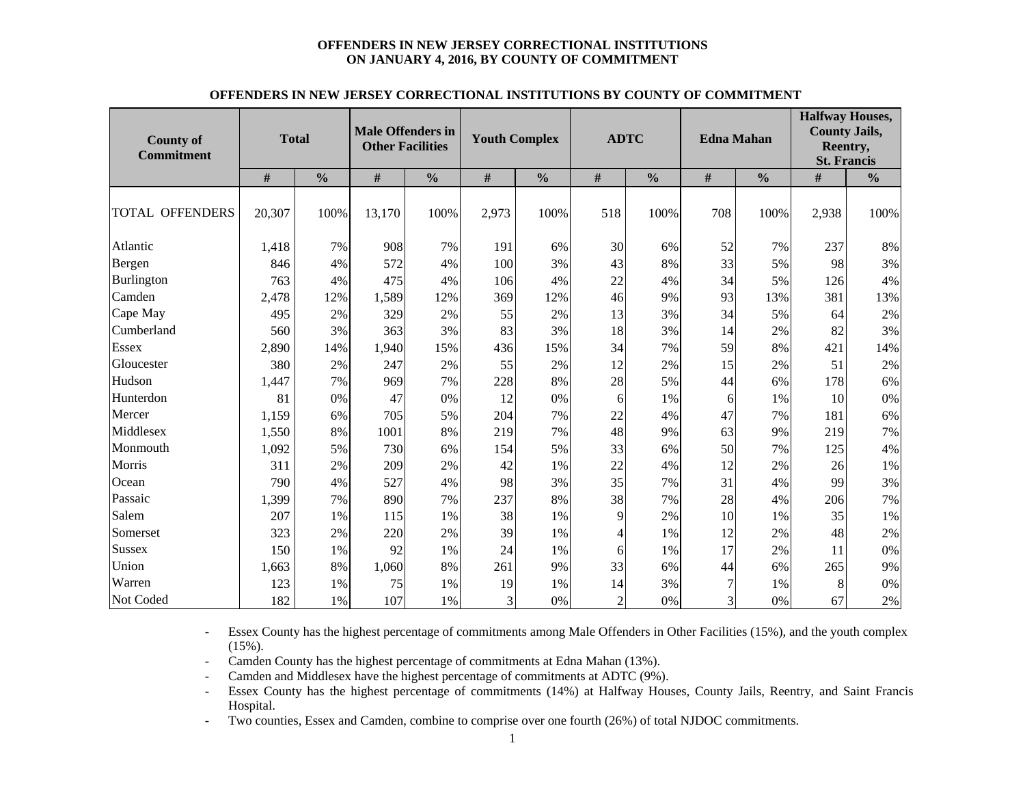#### **OFFENDERS IN NEW JERSEY CORRECTIONAL INSTITUTIONS ON JANUARY 4, 2016, BY COUNTY OF COMMITMENT**

| <b>County of</b><br><b>Commitment</b> | <b>Total</b> |               | <b>Male Offenders in</b><br><b>Other Facilities</b> |               | <b>Youth Complex</b> |               | <b>ADTC</b>    |               | <b>Edna Mahan</b> |               | <b>Halfway Houses,</b><br><b>County Jails,</b><br>Reentry,<br><b>St. Francis</b> |               |  |
|---------------------------------------|--------------|---------------|-----------------------------------------------------|---------------|----------------------|---------------|----------------|---------------|-------------------|---------------|----------------------------------------------------------------------------------|---------------|--|
|                                       | #            | $\frac{0}{0}$ | $\#$                                                | $\frac{0}{0}$ | $\#$                 | $\frac{0}{0}$ | $\#$           | $\frac{0}{0}$ | $\#$              | $\frac{0}{0}$ | $\#$                                                                             | $\frac{0}{0}$ |  |
| <b>TOTAL OFFENDERS</b>                | 20,307       | 100%          | 13,170                                              | 100%          | 2,973                | 100%          | 518            | 100%          | 708               | 100%          | 2,938                                                                            | 100%          |  |
| Atlantic                              | 1,418        | 7%            | 908                                                 | 7%            | 191                  | 6%            | 30             | 6%            | 52                | 7%            | 237                                                                              | 8%            |  |
| Bergen                                | 846          | 4%            | 572                                                 | 4%            | 100                  | 3%            | 43             | 8%            | 33                | 5%            | 98                                                                               | 3%            |  |
| Burlington                            | 763          | 4%            | 475                                                 | 4%            | 106                  | 4%            | 22             | 4%            | 34                | 5%            | 126                                                                              | 4%            |  |
| Camden                                | 2,478        | 12%           | 1,589                                               | 12%           | 369                  | 12%           | 46             | 9%            | 93                | 13%           | 381                                                                              | 13%           |  |
| Cape May                              | 495          | 2%            | 329                                                 | 2%            | 55                   | 2%            | 13             | 3%            | 34                | 5%            | 64                                                                               | 2%            |  |
| Cumberland                            | 560          | 3%            | 363                                                 | 3%            | 83                   | 3%            | 18             | 3%            | 14                | 2%            | 82                                                                               | 3%            |  |
| Essex                                 | 2,890        | 14%           | 1,940                                               | 15%           | 436                  | 15%           | 34             | 7%            | 59                | 8%            | 421                                                                              | 14%           |  |
| Gloucester                            | 380          | 2%            | 247                                                 | 2%            | 55                   | 2%            | 12             | 2%            | 15                | 2%            | 51                                                                               | 2%            |  |
| Hudson                                | 1,447        | 7%            | 969                                                 | 7%            | 228                  | 8%            | 28             | 5%            | 44                | 6%            | 178                                                                              | 6%            |  |
| Hunterdon                             | 81           | 0%            | 47                                                  | 0%            | 12                   | 0%            | 6              | 1%            | 6                 | 1%            | 10                                                                               | 0%            |  |
| Mercer                                | 1,159        | 6%            | 705                                                 | 5%            | 204                  | 7%            | 22             | 4%            | 47                | 7%            | 181                                                                              | 6%            |  |
| Middlesex                             | 1,550        | 8%            | 1001                                                | 8%            | 219                  | 7%            | 48             | 9%            | 63                | 9%            | 219                                                                              | 7%            |  |
| Monmouth                              | 1,092        | 5%            | 730                                                 | 6%            | 154                  | 5%            | 33             | 6%            | 50                | 7%            | 125                                                                              | 4%            |  |
| Morris                                | 311          | 2%            | 209                                                 | 2%            | 42                   | 1%            | 22             | 4%            | 12                | 2%            | 26                                                                               | 1%            |  |
| Ocean                                 | 790          | 4%            | 527                                                 | 4%            | 98                   | 3%            | 35             | 7%            | 31                | 4%            | 99                                                                               | 3%            |  |
| Passaic                               | 1,399        | 7%            | 890                                                 | 7%            | 237                  | 8%            | 38             | 7%            | 28                | 4%            | 206                                                                              | 7%            |  |
| Salem                                 | 207          | 1%            | 115                                                 | 1%            | 38                   | 1%            | 9              | 2%            | 10                | 1%            | 35                                                                               | 1%            |  |
| Somerset                              | 323          | 2%            | 220                                                 | 2%            | 39                   | 1%            | 4              | 1%            | 12                | 2%            | 48                                                                               | 2%            |  |
| Sussex                                | 150          | 1%            | 92                                                  | 1%            | 24                   | 1%            | 6              | 1%            | 17                | 2%            | 11                                                                               | 0%            |  |
| Union                                 | 1,663        | 8%            | 1,060                                               | 8%            | 261                  | 9%            | 33             | 6%            | 44                | 6%            | 265                                                                              | 9%            |  |
| Warren                                | 123          | 1%            | 75                                                  | 1%            | 19                   | 1%            | 14             | 3%            | 7                 | 1%            | 8                                                                                | 0%            |  |
| Not Coded                             | 182          | 1%            | 107                                                 | 1%            | 3                    | 0%            | $\overline{2}$ | 0%            | 3                 | $0\%$         | 67                                                                               | 2%            |  |

#### **OFFENDERS IN NEW JERSEY CORRECTIONAL INSTITUTIONS BY COUNTY OF COMMITMENT**

- Essex County has the highest percentage of commitments among Male Offenders in Other Facilities (15%), and the youth complex (15%).

- -Camden County has the highest percentage of commitments at Edna Mahan (13%).
- Camden and Middlesex have the highest percentage of commitments at ADTC (9%).
- - Essex County has the highest percentage of commitments (14%) at Halfway Houses, County Jails, Reentry, and Saint Francis Hospital.
- -Two counties, Essex and Camden, combine to comprise over one fourth (26%) of total NJDOC commitments.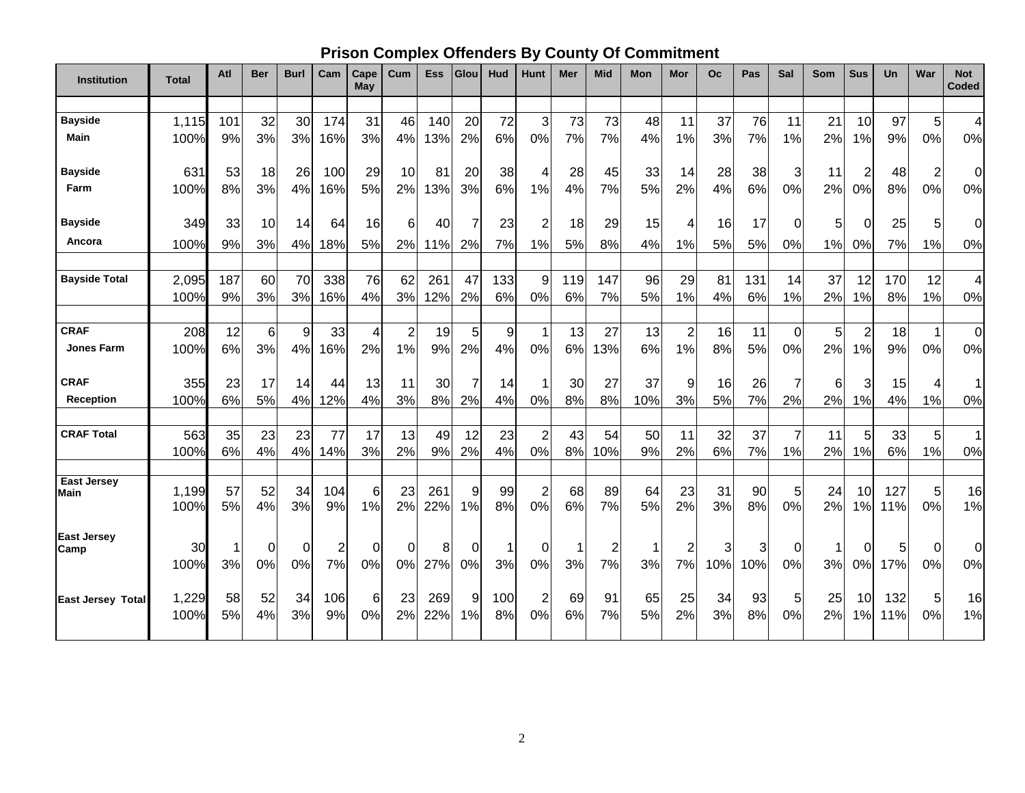# **Prison Complex Offenders By County Of Commitment**

| <b>Institution</b>         | <b>Total</b>  | Atl       | <b>Ber</b> | <b>Burl</b> | Cam                     | Cape<br>May             | Cum            | <b>Ess</b> | Glou     | Hud              | Hunt                 | Mer      | <b>Mid</b>              | Mon      | Mor                     | Оc       | Pas      | Sal            | <b>Som</b> | <b>Sus</b>     | Un       | War            | <b>Not</b><br>Coded  |
|----------------------------|---------------|-----------|------------|-------------|-------------------------|-------------------------|----------------|------------|----------|------------------|----------------------|----------|-------------------------|----------|-------------------------|----------|----------|----------------|------------|----------------|----------|----------------|----------------------|
| <b>Bayside</b>             |               |           |            |             |                         |                         |                |            |          |                  |                      |          |                         |          |                         |          |          |                |            |                |          |                |                      |
| Main                       | 1,115<br>100% | 101<br>9% | 32<br>3%   | 30<br>3%    | 174<br>16%              | 31<br>3%                | 46<br>4%       | 140<br>13% | 20<br>2% | 72<br>6%         | 3<br>0%              | 73<br>7% | 73<br>7%                | 48<br>4% | 11<br>1%                | 37<br>3% | 76<br>7% | 11<br>1%       | 21<br>2%   | 10<br>1%       | 97<br>9% | 5<br>0%        | $\overline{4}$<br>0% |
|                            |               |           |            |             |                         |                         |                |            |          |                  |                      |          |                         |          |                         |          |          |                |            |                |          |                |                      |
| <b>Bayside</b>             | 631           | 53        | 18         | 26          | 100                     | 29                      | 10             | 81         | 20       | 38               | 4                    | 28       | 45                      | 33       | 14                      | 28       | 38       | 3              | 11         | $\overline{2}$ | 48       | $\overline{c}$ | $\mathbf 0$          |
| Farm                       | 100%          | 8%        | 3%         | 4%          | 16%                     | 5%                      | 2%             | 13%        | 3%       | 6%               | 1%                   | 4%       | 7%                      | 5%       | 2%                      | 4%       | 6%       | 0%             | 2%         | 0%             | 8%       | 0%             | 0%                   |
| <b>Bayside</b>             | 349           | 33        | 10         | 14          | 64                      | 16                      | 6              | 40         |          | 23               | $\overline{2}$       | 18       | 29                      | 15       | 4                       | 16       | 17       | $\overline{0}$ | 5          | $\Omega$       | 25       | 5              | $\mathbf 0$          |
| Ancora                     | 100%          | 9%        | 3%         | 4%          | 18%                     | 5%                      | 2%             | 11%        | 2%       | 7%               | 1%                   | 5%       | 8%                      | 4%       | 1%                      | 5%       | 5%       | 0%             | 1%         | 0%             | 7%       | 1%             | 0%                   |
|                            |               |           |            |             |                         |                         |                |            |          |                  |                      |          |                         |          |                         |          |          |                |            |                |          |                |                      |
| <b>Bayside Total</b>       | 2,095         | 187       | 60         | 70          | 338                     | 76                      | 62             | 261        | 47       | 133              | 9                    | 119      | 147                     | 96       | 29                      | 81       | 131      | 14             | 37         | 12             | 170      | 12             | $\overline{4}$       |
|                            | 100%          | 9%        | 3%         | 3%          | 16%                     | 4%                      | 3%             | 12%        | 2%       | 6%               | 0%                   | 6%       | 7%                      | 5%       | 1%                      | 4%       | 6%       | 1%             | 2%         | 1%             | 8%       | 1%             | 0%                   |
|                            |               |           |            |             |                         |                         |                |            |          |                  |                      |          |                         |          |                         |          |          |                |            |                |          |                |                      |
| <b>CRAF</b>                | 208           | 12        | 6          | 9           | 33                      | $\overline{\mathbf{4}}$ | $\overline{c}$ | 19         | 5        | $\boldsymbol{9}$ | $\mathbf 1$          | 13       | 27                      | 13       | $\overline{\mathbf{c}}$ | 16       | 11       | $\mathbf 0$    | 5          | $\overline{2}$ | 18       |                | $\mathbf 0$          |
| <b>Jones Farm</b>          | 100%          | 6%        | 3%         | 4%          | 16%                     | 2%                      | 1%             | 9%         | 2%       | 4%               | 0%                   | 6%       | 13%                     | 6%       | 1%                      | 8%       | 5%       | 0%             | 2%         | 1%             | 9%       | 0%             | 0%                   |
| <b>CRAF</b>                | 355           | 23        | 17         | 14          | 44                      | 13                      | 11             | 30         |          | 14               |                      | 30       | 27                      | 37       | 9                       | 16       | 26       | $\overline{7}$ | 6          | 3              | 15       | 4              | 1                    |
| <b>Reception</b>           | 100%          | 6%        | 5%         | 4%          | 12%                     | 4%                      | 3%             | 8%         | 2%       | 4%               | 0%                   | 8%       | 8%                      | 10%      | 3%                      | 5%       | 7%       | 2%             | 2%         | 1%             | 4%       | 1%             | 0%                   |
|                            |               |           |            |             |                         |                         |                |            |          |                  |                      |          |                         |          |                         |          |          |                |            |                |          |                |                      |
| <b>CRAF Total</b>          | 563           | 35        | 23         | 23          | 77                      | 17                      | 13             | 49         | 12       | 23               | $\overline{2}$       | 43       | 54                      | 50       | 11                      | 32       | 37       | $\overline{7}$ | 11         | 5              | 33       | 5              | $\mathbf 1$          |
|                            | 100%          | 6%        | 4%         | 4%          | 14%                     | 3%                      | 2%             | 9%         | 2%       | 4%               | 0%                   | 8%       | 10%                     | 9%       | 2%                      | 6%       | 7%       | 1%             | 2%         | 1%             | 6%       | 1%             | 0%                   |
| <b>East Jersey</b>         | 1,199         |           |            | 34          | 104                     |                         | 23             |            |          | 99               |                      | 68       | 89                      |          |                         |          | 90       |                | 24         |                | 127      |                | 16                   |
| <b>Main</b>                | 100%          | 57<br>5%  | 52<br>4%   | 3%          | 9%                      | 6<br>1%                 | 2%             | 261<br>22% | 9<br>1%  | 8%               | $\overline{2}$<br>0% | 6%       | 7%                      | 64<br>5% | 23<br>2%                | 31<br>3% | 8%       | 5<br>0%        | 2%         | 10<br>1%       | 11%      | 5<br>0%        | 1%                   |
|                            |               |           |            |             |                         |                         |                |            |          |                  |                      |          |                         |          |                         |          |          |                |            |                |          |                |                      |
| <b>East Jersey</b><br>Camp | 30            | -1        | 0          | 0           | $\overline{\mathbf{c}}$ | 0                       | 0              | 8          | 0        | 1                | 0                    | 1        | $\overline{\mathbf{c}}$ | 1        | $\overline{c}$          | 3        | 3        | $\Omega$       | 1          | 0              | 5        | $\Omega$       | 0                    |
|                            | 100%          | 3%        | 0%         | 0%          | 7%                      | 0%                      | 0%             | 27%        | 0%       | 3%               | 0%                   | 3%       | 7%                      | 3%       | 7%                      | 10%      | 10%      | 0%             | 3%         | 0%             | 17%      | 0%             | 0%                   |
|                            |               |           |            |             |                         |                         |                |            |          |                  |                      |          |                         |          |                         |          |          |                |            |                |          |                |                      |
| <b>East Jersey Total</b>   | 1,229         | 58        | 52         | 34          | 106                     | 6                       | 23             | 269        | 9        | 100              | $\overline{2}$       | 69       | 91                      | 65       | 25                      | 34       | 93       | 5              | 25         | 10             | 132      | 5              | 16                   |
|                            | 100%          | 5%        | 4%         | 3%          | 9%                      | 0%                      | 2%             | 22%        | 1%       | 8%               | 0%                   | 6%       | 7%                      | 5%       | 2%                      | 3%       | 8%       | 0%             | 2%         | 1%             | 11%      | 0%             | 1%                   |
|                            |               |           |            |             |                         |                         |                |            |          |                  |                      |          |                         |          |                         |          |          |                |            |                |          |                |                      |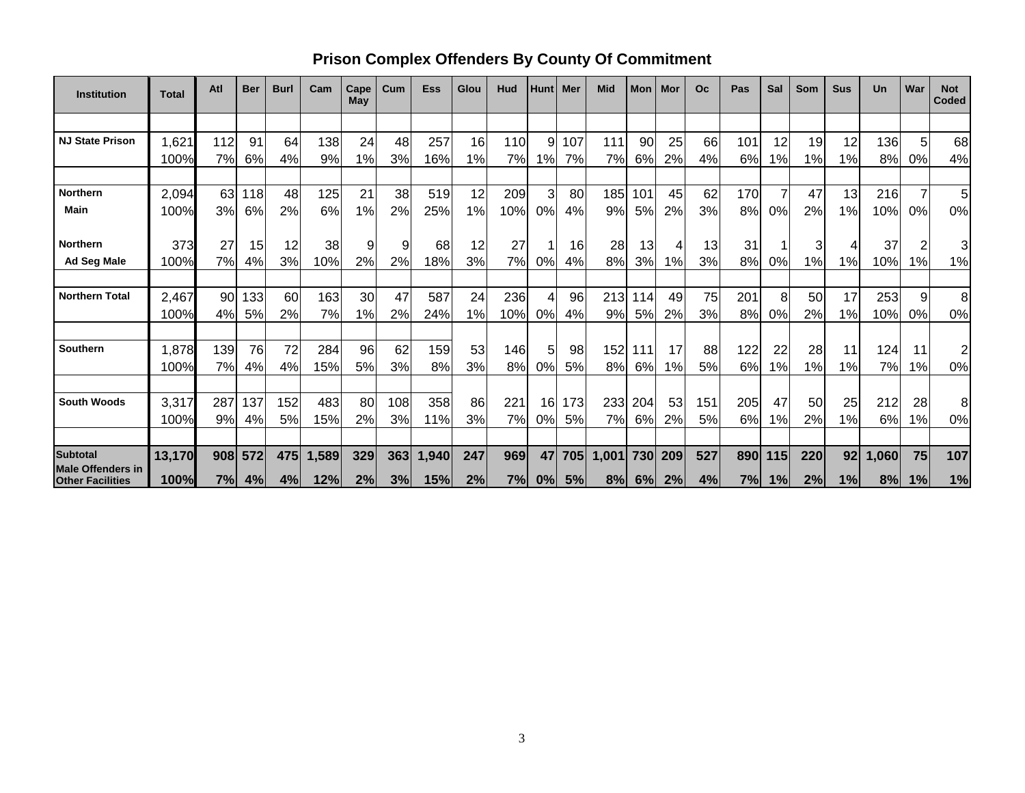# **Prison Complex Offenders By County Of Commitment**

| <b>Institution</b>                          | <b>Total</b> | Atl | <b>Ber</b> | <b>Burl</b> | Cam   | Cape<br>May | Cum | <b>Ess</b> | Glou | Hud | <b>Hunt</b> | Mer | <b>Mid</b> | <b>Mon</b> | Mor | O <sub>c</sub> | Pas | Sal | Som | <b>Sus</b> | Un    | War | <b>Not</b><br>Coded |
|---------------------------------------------|--------------|-----|------------|-------------|-------|-------------|-----|------------|------|-----|-------------|-----|------------|------------|-----|----------------|-----|-----|-----|------------|-------|-----|---------------------|
|                                             |              |     |            |             |       |             |     |            |      |     |             |     |            |            |     |                |     |     |     |            |       |     |                     |
| <b>NJ State Prison</b>                      | 1,621        | 112 | 91         | 64          | 138   | 24          | 48  | 257        | 16   | 110 | 9           | 107 | 111        | 90         | 25  | 66             | 101 | 12  | 19  | 12         | 136   | 5   | 68                  |
|                                             | 100%         | 7%  | 6%         | 4%          | 9%    | 1%          | 3%  | 16%        | 1%   | 7%  | 1%          | 7%  | 7%l        | 6%         | 2%  | 4%             | 6%  | 1%  | 1%  | 1%         | 8%    | 0%  | 4%                  |
|                                             |              |     |            |             |       |             |     |            |      |     |             |     |            |            |     |                |     |     |     |            |       |     |                     |
| <b>Northern</b>                             | 2,094        | 63  | 118        | 48          | 125   | 21          | 38  | 519        | 12   | 209 | 3           | 80  | 185        | 101        | 45  | 62             | 170 | 7   | 47  | 13         | 216   |     | 5                   |
| <b>Main</b>                                 | 100%         | 3%  | 6%         | 2%          | 6%    | 1%          | 2%  | 25%        | 1%   | 10% | 0%          | 4%  | 9%         | 5%         | 2%  | 3%             | 8%  | 0%  | 2%  | 1%         | 10%   | 0%  | 0%                  |
| <b>Northern</b>                             | 373          | 27  | 15         | 12          | 38    | 9           | 9   | 68         | 12   | 27  | 1           | 16  | 28         | 13         | 4   | 13             | 31  | 1   | 3   | 4          | 37    |     | 3                   |
| <b>Ad Seg Male</b>                          | 100%         | 7%  | 4%         | 3%          | 10%   | 2%          | 2%  | 18%        | 3%   | 7%  | 0%          | 4%  | 8%         | 3%         | 1%  | 3%             | 8%  | 0%  | 1%  | 1%         | 10%   | 1%  | 1%                  |
|                                             |              |     |            |             |       |             |     |            |      |     |             |     |            |            |     |                |     |     |     |            |       |     |                     |
| <b>Northern Total</b>                       | 2,467        | 90  | 133        | 60          | 163   | 30          | 47  | 587        | 24   | 236 | 4           | 96  | 213        | 114        | 49  | 75             | 201 | 8   | 50  | 17         | 253   | 9   | 8                   |
|                                             | 100%         | 4%  | 5%         | 2%          | 7%    | 1%          | 2%  | 24%        | 1%   | 10% | 0%          | 4%  | 9%         | 5%         | 2%  | 3%             | 8%  | 0%  | 2%  | 1%         | 10%   | 0%  | 0%                  |
| <b>Southern</b>                             | 1,878        | 139 | 76         | 72          | 284   | 96          | 62  | 159        | 53   | 146 | 5           | 98  | 152        | 111        | 17  | 88             | 122 | 22  | 28  | 11         | 124   | 11  | $\overline{2}$      |
|                                             | 100%         | 7%  | 4%         | 4%          | 15%   | 5%          | 3%  | 8%         | 3%   | 8%  | 0%          | 5%  | 8%         | 6%         | 1%  | 5%             | 6%  | 1%  | 1%  | $1\%$      | 7%    | 1%  | 0%                  |
|                                             |              |     |            |             |       |             |     |            |      |     |             |     |            |            |     |                |     |     |     |            |       |     |                     |
| <b>South Woods</b>                          | 3,317        | 287 | 137        | 152         | 483   | 80          | 108 | 358        | 86   | 221 | 16          | 173 | 233        | 204        | 53  | 151            | 205 | 47  | 50  | 25         | 212   | 28  | 8                   |
|                                             | 100%         | 9%  | 4%         | 5%          | 15%   | 2%          | 3%  | 11%        | 3%   | 7%  | 0%          | 5%  | 7%         | 6%         | 2%  | 5%             | 6%  | 1%  | 2%  | 1%         | 6%    | 1%  | 0%                  |
|                                             |              |     |            |             |       |             |     |            |      |     |             |     |            |            |     |                |     |     |     |            |       |     |                     |
| <b>Subtotal</b><br><b>Male Offenders in</b> | 13,170       | 908 | 572        | 475         | 1,589 | 329         | 363 | 1,940      | 247  | 969 | 47          | 705 | 1,001      | 730        | 209 | 527            | 890 | 115 | 220 | 92         | 1,060 | 75  | 107                 |
| <b>Other Facilities</b>                     | 100%         | 7%  | 4%         | 4%          | 12%   | 2%          | 3%  | 15%        | 2%   | 7%  | 0%          | 5%  | 8%         | 6%         | 2%  | 4%             | 7%  | 1%  | 2%  | 1%         | 8%    | 1%  | 1%                  |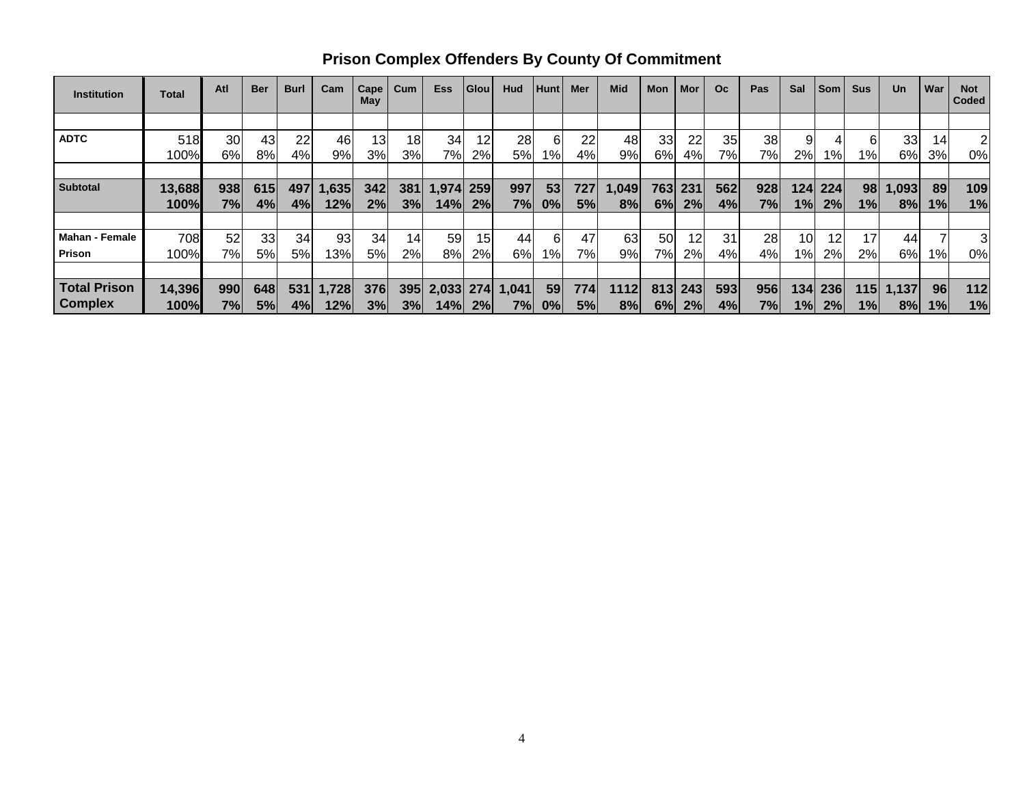| <b>Institution</b>    | Total  | Atl | <b>Ber</b> | <b>Burl</b> | Cam   | Cape<br>May | Cum   | <b>Ess</b> | <b>Glou</b>     | Hud   | <b>Hunt</b>     | Mer | <b>Mid</b> | Mon | Mor | <b>Oc</b> | Pas | Sal | <b>Som</b> | <b>Sus</b> | <b>Un</b> | War | <b>Not</b><br>Coded |
|-----------------------|--------|-----|------------|-------------|-------|-------------|-------|------------|-----------------|-------|-----------------|-----|------------|-----|-----|-----------|-----|-----|------------|------------|-----------|-----|---------------------|
|                       |        |     |            |             |       |             |       |            |                 |       |                 |     |            |     |     |           |     |     |            |            |           |     |                     |
| <b>ADTC</b>           | 518    | 30  | 43         | 22          | 46    | 13          | 18    | 34         | 12              | 28    | 6               | 22  | 48         | 33  | 22  | 35        | 38  |     |            |            | 33        | 14  |                     |
|                       | 100%   | 6%  | 8%l        | 4%          | 9%    | 3%          | 3%    | 7%         | 2%              | 5%    | 1% <sub>I</sub> | 4%  | 9%         | 6%  | 4%  | 7%        | 7%l | 2%  | $1\%$      | 1%         | 6%        | 3%  | 0%                  |
|                       |        |     |            |             |       |             |       |            |                 |       |                 |     |            |     |     |           |     |     |            |            |           |     |                     |
| <b>Subtotal</b>       | 13,688 | 938 | 615        | 497         | 1,635 | 342         | 381   | .974       | 259             | 997   | 53              | 727 | 1,049      | 763 | 231 | 562       | 928 | 124 | 224        | 98         | 1,093     | 89  | 109                 |
|                       | 100%   | 7%  | 4%         | 4%          | 12%   | 2%          | 3%    | 14%        | 2%              | 7%    | 0%              | 5%  | 8%         | 6%  | 2%  | 4%        | 7%  | 1%  | 2%         | $1\%$      | 8%        | 1%  | 1%                  |
|                       |        |     |            |             |       |             |       |            |                 |       |                 |     |            |     |     |           |     |     |            |            |           |     |                     |
| <b>Mahan - Female</b> | 708    | 52  | 33         | 34          | 93    | 34          | 14    | 59         | 15 <sub>1</sub> | 44    | 6               | 47  | 63         | 50  | 12  | 31        | 28  | 10  | 12         | 17         | 44        |     | 3                   |
| <b>Prison</b>         | 100%   | 7%  | 5%         | 5%          | 13%   | 5%          | $2\%$ | 8%l        | 2%              | 6%    | 1%              | 7%  | 9%         | 7%  | 2%  | 4%        | 4%  | 1%  | 2%         | 2%         | 6%        | 1%  | 0%                  |
|                       |        |     |            |             |       |             |       |            |                 |       |                 |     |            |     |     |           |     |     |            |            |           |     |                     |
| <b>Total Prison</b>   | 14,396 | 990 | 648        | 531         | 1,728 | 376         | 395   | 2,033      | 274             | 1,041 | 59              | 774 | 1112       | 813 | 243 | 593       | 956 | 134 | 236        | <b>115</b> | 1,137     | 96  | 112                 |
| <b>Complex</b>        | 100%   | 7%  | 5%         | 4%          | 12%   | $3\%$       | 3%    | 14%l       | 2%              | 7%    | $ 0\% $         | 5%  | 8%         | 6%  | 2%  | 4%        | 7%  | 1%  | 2%         | 1%         | 8%        | 1%  | 1%                  |

**Prison Complex Offenders By County Of Commitment**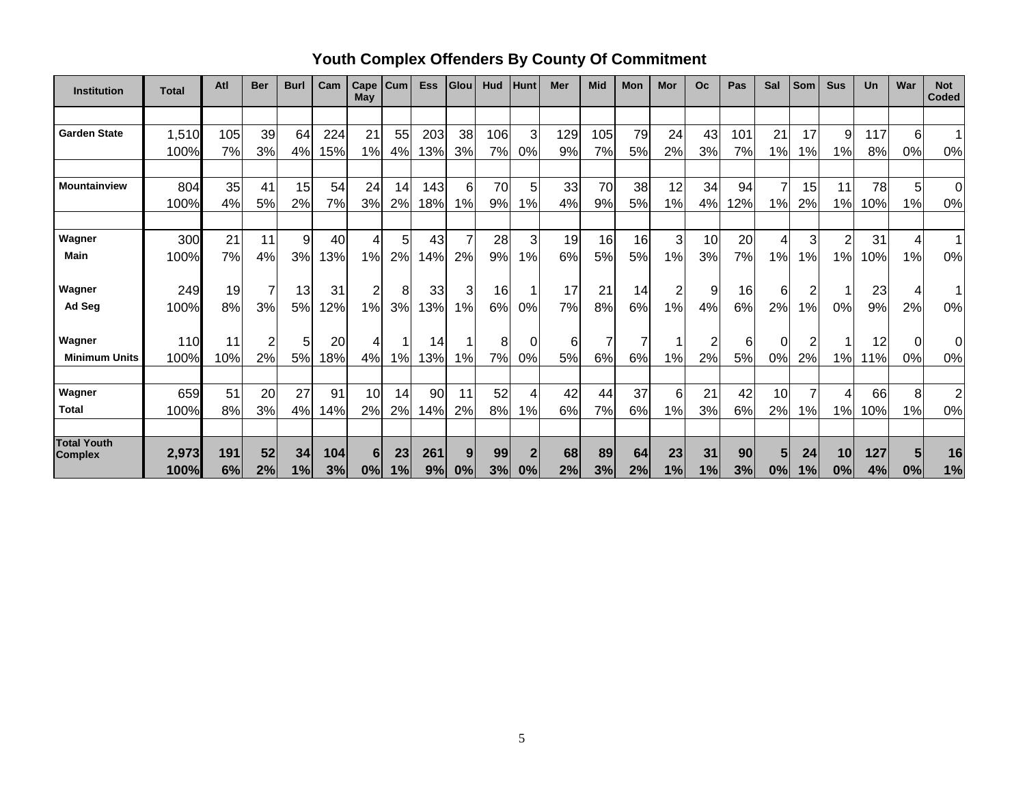| <b>Institution</b>                   | <b>Total</b> | Atl | <b>Ber</b> | <b>Burl</b>    | Cam | Cape<br>May     | Cum            | <b>Ess</b> | Glou | Hud | <b>Hunt</b>    | Mer | <b>Mid</b> | <b>Mon</b> | Mor | <b>Oc</b>      | Pas       | Sal | Som            | <b>Sus</b>     | Un  | War            | <b>Not</b><br>Coded |
|--------------------------------------|--------------|-----|------------|----------------|-----|-----------------|----------------|------------|------|-----|----------------|-----|------------|------------|-----|----------------|-----------|-----|----------------|----------------|-----|----------------|---------------------|
|                                      |              |     |            |                |     |                 |                |            |      |     |                |     |            |            |     |                |           |     |                |                |     |                |                     |
| <b>Garden State</b>                  | 1,510        | 105 | 39         | 64             | 224 | 21              | 55             | 203        | 38   | 106 | 3              | 129 | 105        | 79         | 24  | 43             | 101       | 21  | 17             | 9              | 117 | $6 \mid$       |                     |
|                                      | 100%         | 7%  | 3%         | 4%             | 15% | 1%              | 4%             | 13%        | 3%   | 7%  | 0%             | 9%  | 7%         | 5%         | 2%  | 3%             | 7%        | 1%  | $1\%$          | 1%             | 8%  | 0%             | 0%                  |
|                                      |              |     |            |                |     |                 |                |            |      |     |                |     |            |            |     |                |           |     |                |                |     |                |                     |
| <b>Mountainview</b>                  | 804          | 35  | 41         | 15             | 54  | 24              | 14             | 143        | 6    | 70  | 5 <sup>1</sup> | 33  | 70         | 38         | 12  | 34             | 94        | ⇁   | 15             | 11             | 78  | 5 <sub>l</sub> | $\overline{0}$      |
|                                      | 100%         | 4%  | 5%         | 2%             | 7%  | 3%              | 2%             | 18%        | 1%   | 9%  | 1%             | 4%  | 9%         | 5%         | 1%  | 4%             | <b>2%</b> | 1%  | 2%             | 1%             | 10% | 1%             | 0%                  |
|                                      |              |     |            |                |     |                 |                |            |      |     |                |     |            |            |     |                |           |     |                |                |     |                |                     |
| Wagner                               | 300          | 21  | 11         | $\overline{9}$ | 40  | 4               | 5 <sup>1</sup> | 43         | 7    | 28  | $\overline{3}$ | 19  | 16         | 16         | 3   | 10             | 20        |     | 3              | $\overline{c}$ | 31  | 4              | 1                   |
| Main                                 | 100%         | 7%  | 4%         | 3%             | 13% | 1%              | 2%             | 14%        | 2%   | 9%  | 1%             | 6%  | 5%         | 5%         | 1%  | 3%             | 7%        | 1%  | 1%             | 1%             | 10% | 1%             | 0%                  |
| Wagner                               | 249          | 19  |            | 13             | 31  | $\overline{c}$  | 8 <sup>1</sup> | 33         | 3    | 16  |                | 17  | 21         | 14         | 2   | 9              | 16        | 6   | $\overline{2}$ |                | 23  | 4              |                     |
| Ad Seg                               | 100%         | 8%  | 3%         | 5%             | 12% | 1%              | 3%             | 13%        | 1%   | 6%  | 0%             | 7%  | 8%         | 6%         | 1%  | 4%             | 6%        | 2%  | 1%             | 0%             | 9%  | 2%             | 0%                  |
|                                      |              |     |            |                |     |                 |                |            |      |     |                |     |            |            |     |                |           |     |                |                |     |                |                     |
| Wagner                               | 110          | 11  |            | 5 <sub>l</sub> | 20  | 41              |                | 14         |      | 8   | $\overline{0}$ | 6   | 7          |            |     | $\overline{2}$ | 6         |     | $\overline{2}$ |                | 12  | $\Omega$       | 0                   |
| <b>Minimum Units</b>                 | 100%         | 10% | 2%         | 5%             | 18% | 4%              | 1%             | 13%        | 1%   | 7%  | 0%             | 5%  | 6%         | 6%         | 1%  | 2%             | 5%        | 0%  | 2%             | 1%             | 11% | 0%             | 0%                  |
|                                      |              |     |            |                |     |                 |                |            |      |     |                |     |            |            |     |                |           |     |                |                |     |                |                     |
| Wagner                               | 659          | 51  | 20         | 27             | 91  | 10 <sub>1</sub> | 14             | 90         | 11   | 52  |                | 42  | 44         | 37         | 6   | 21             | 42        | 10  | 7              | 4              | 66  | 8 <sup>1</sup> | $\overline{2}$      |
| <b>Total</b>                         | 100%         | 8%  | 3%         | 4%             | 14% | 2%              | 2%             | 14%        | 2%   | 8%  | 1%             | 6%  | 7%         | 6%         | 1%  | 3%             | 6%        | 2%  | 1%             | 1%             | 10% | 1%             | 0%                  |
|                                      |              |     |            |                |     |                 |                |            |      |     |                |     |            |            |     |                |           |     |                |                |     |                |                     |
| <b>Total Youth</b><br><b>Complex</b> | 2,973        | 191 | 52         | 34             | 104 | 6               | 23             | 261        | 9    | 99  | $\mathbf 2$    | 68  | 89         | 64         | 23  | 31             | 90        | 5   | 24             | 10             | 127 | 5              | 16                  |
|                                      | 100%         | 6%  | 2%         | 1%             | 3%  | 0%              | 1%             | 9%         | 0%   | 3%  | 0%             | 2%  | 3%         | 2%         | 1%  | 1%             | 3%        | 0%  | 1%             | 0%             | 4%  | 0%             | 1%                  |

**Youth Complex Offenders By County Of Commitment**